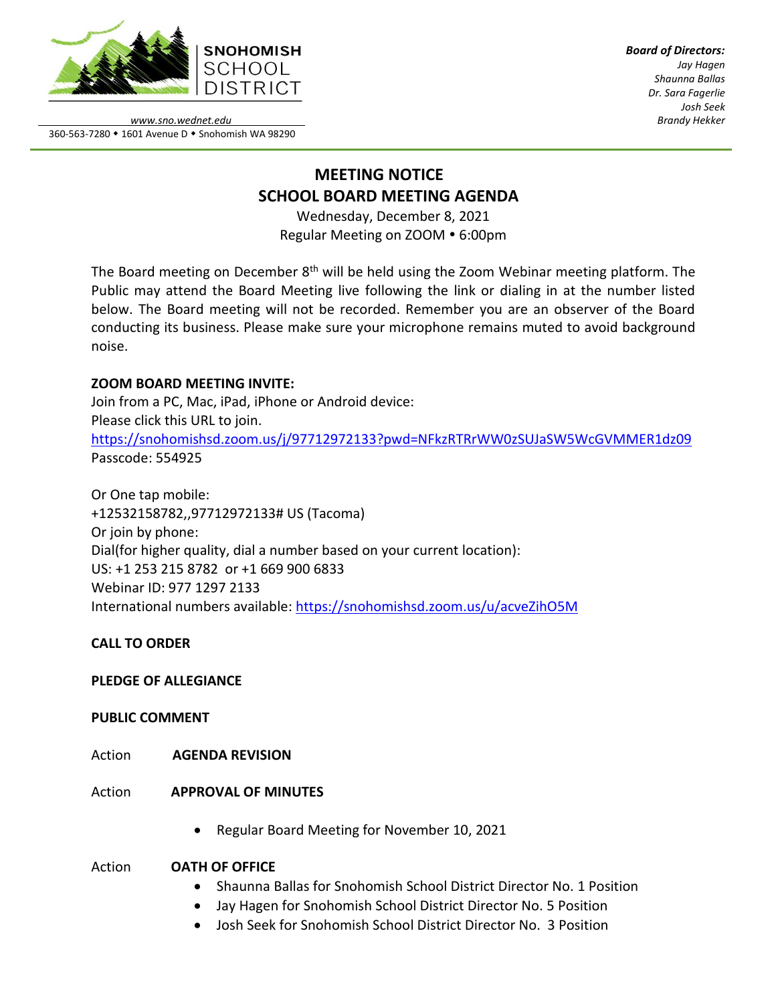

*Board of Directors: Jay Hagen Shaunna Ballas Dr. Sara Fagerlie Josh Seek Brandy Hekker*

*www.sno.wednet.edu* 360-563-7280 • 1601 Avenue D • Snohomish WA 98290

# **MEETING NOTICE SCHOOL BOARD MEETING AGENDA**

Wednesday, December 8, 2021 Regular Meeting on ZOOM • 6:00pm

The Board meeting on December 8<sup>th</sup> will be held using the Zoom Webinar meeting platform. The Public may attend the Board Meeting live following the link or dialing in at the number listed below. The Board meeting will not be recorded. Remember you are an observer of the Board conducting its business. Please make sure your microphone remains muted to avoid background noise.

## **ZOOM BOARD MEETING INVITE:**

Join from a PC, Mac, iPad, iPhone or Android device: Please click this URL to join. <https://snohomishsd.zoom.us/j/97712972133?pwd=NFkzRTRrWW0zSUJaSW5WcGVMMER1dz09> Passcode: 554925

Or One tap mobile: +12532158782,,97712972133# US (Tacoma) Or join by phone: Dial(for higher quality, dial a number based on your current location): US: +1 253 215 8782 or +1 669 900 6833 Webinar ID: 977 1297 2133 International numbers available:<https://snohomishsd.zoom.us/u/acveZihO5M>

## **CALL TO ORDER**

## **PLEDGE OF ALLEGIANCE**

## **PUBLIC COMMENT**

- Action **AGENDA REVISION**
- Action **APPROVAL OF MINUTES**
	- Regular Board Meeting for November 10, 2021

## Action **OATH OF OFFICE**

- Shaunna Ballas for Snohomish School District Director No. 1 Position
- Jay Hagen for Snohomish School District Director No. 5 Position
- Josh Seek for Snohomish School District Director No. 3 Position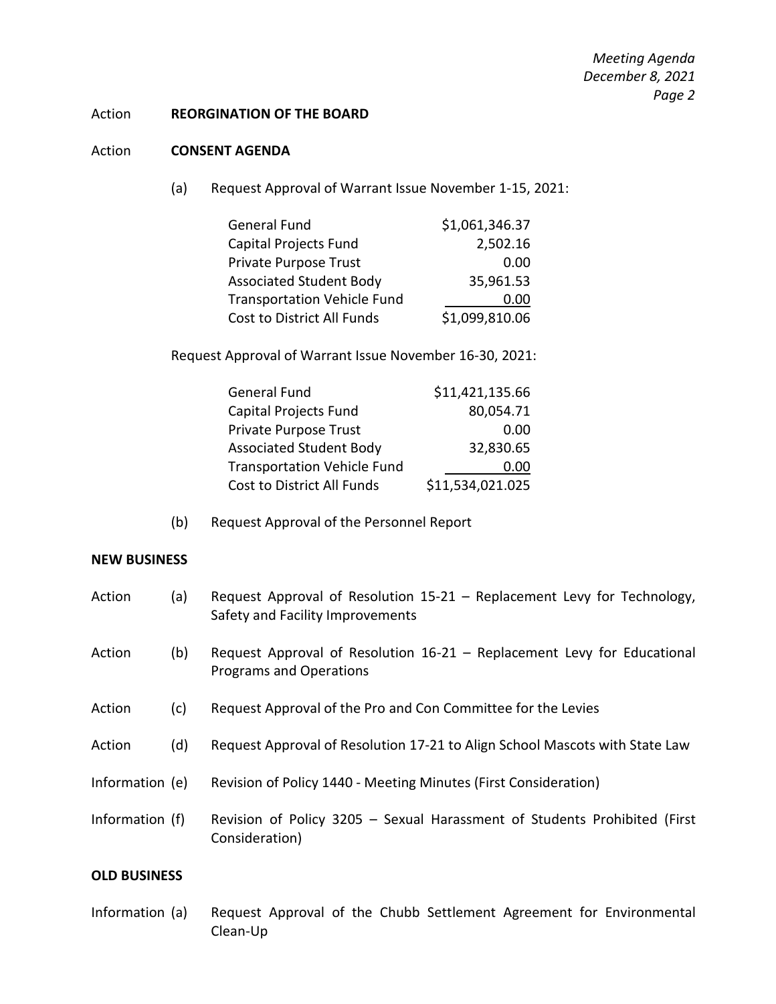*Meeting Agenda December 8, 2021 Page 2*

#### Action **REORGINATION OF THE BOARD**

#### Action **CONSENT AGENDA**

(a) Request Approval of Warrant Issue November 1-15, 2021:

| <b>General Fund</b>                | \$1,061,346.37 |
|------------------------------------|----------------|
| Capital Projects Fund              | 2,502.16       |
| Private Purpose Trust              | 0.00           |
| <b>Associated Student Body</b>     | 35,961.53      |
| <b>Transportation Vehicle Fund</b> | 0.00           |
| Cost to District All Funds         | \$1,099,810.06 |

Request Approval of Warrant Issue November 16-30, 2021:

| <b>General Fund</b>                | \$11,421,135.66  |
|------------------------------------|------------------|
| Capital Projects Fund              | 80,054.71        |
| Private Purpose Trust              | 0.00             |
| <b>Associated Student Body</b>     | 32,830.65        |
| <b>Transportation Vehicle Fund</b> | 0.00             |
| Cost to District All Funds         | \$11,534,021.025 |
|                                    |                  |

(b) Request Approval of the Personnel Report

### **NEW BUSINESS**

| Action          | (a) | Request Approval of Resolution 15-21 - Replacement Levy for Technology,<br>Safety and Facility Improvements |
|-----------------|-----|-------------------------------------------------------------------------------------------------------------|
| Action          | (b) | Request Approval of Resolution 16-21 - Replacement Levy for Educational<br><b>Programs and Operations</b>   |
| Action          | (c) | Request Approval of the Pro and Con Committee for the Levies                                                |
| Action          | (d) | Request Approval of Resolution 17-21 to Align School Mascots with State Law                                 |
| Information (e) |     | Revision of Policy 1440 - Meeting Minutes (First Consideration)                                             |
| Information (f) |     | Revision of Policy 3205 - Sexual Harassment of Students Prohibited (First<br>Consideration)                 |

### **OLD BUSINESS**

Information (a) Request Approval of the Chubb Settlement Agreement for Environmental Clean-Up